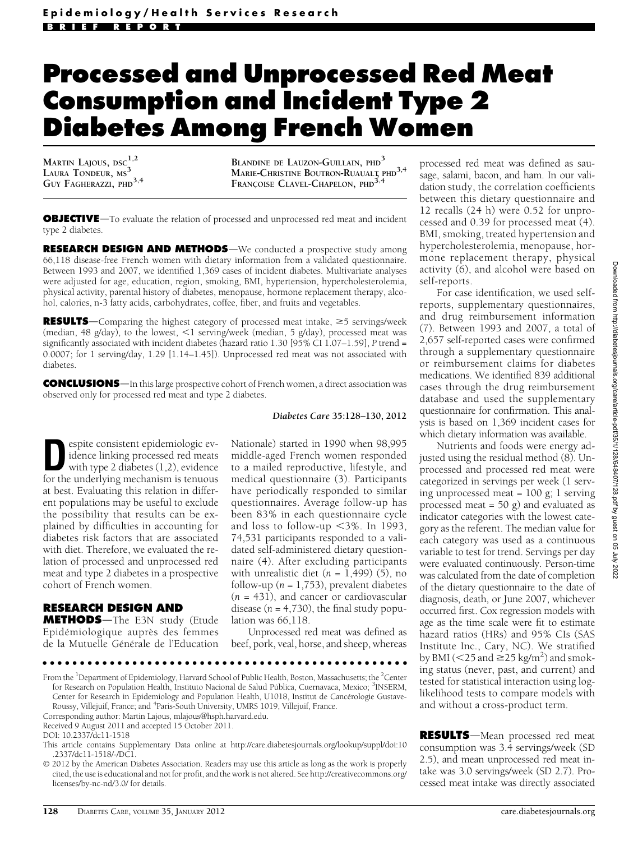# Processed and Unprocessed Red Meat Consumption and Incident Type 2 Diabetes Among French Women

MARTIN LAJOUS,  $DSC<sub>2</sub><sup>1,2</sup>$ LAURA TONDEUR,  $MS<sup>3</sup>$ GUY FAGHERAZZI, PHD<sup>3,4</sup>

BLANDINE DE LAUZON-GUILLAIN, PHD<sup>3</sup> MARIE-CHRISTINE BOUTRON-RUAUALT, PHD<sup>3,4</sup> FRANÇOISE CLAVEL-CHAPELON, PHD<sup>3,4</sup>

**OBJECTIVE**—To evaluate the relation of processed and unprocessed red meat and incident type 2 diabetes.

**RESEARCH DESIGN AND METHODS**—We conducted a prospective study among 66,118 disease-free French women with dietary information from a validated questionnaire. Between 1993 and 2007, we identified 1,369 cases of incident diabetes. Multivariate analyses were adjusted for age, education, region, smoking, BMI, hypertension, hypercholesterolemia, physical activity, parental history of diabetes, menopause, hormone replacement therapy, alcohol, calories, n-3 fatty acids, carbohydrates, coffee, fiber, and fruits and vegetables.

**RESULTS**—Comparing the highest category of processed meat intake,  $\geq$ 5 servings/week (median, 48 g/day), to the lowest,  $\leq$ 1 serving/week (median, 5 g/day), processed meat was significantly associated with incident diabetes (hazard ratio 1.30 [95% CI 1.07–1.59], P trend = 0.0007; for 1 serving/day, 1.29 [1.14–1.45]). Unprocessed red meat was not associated with diabetes.

**CONCLUSIONS**—In this large prospective cohort of French women, a direct association was observed only for processed red meat and type 2 diabetes.

#### Diabetes Care 35:128–130, 2012

Espite consistent epidemiologic ev-<br>
idence linking processed red meats<br>
with type 2 diabetes (1,2), evidence idence linking processed red meats with type 2 diabetes (1,2), evidence for the underlying mechanism is tenuous at best. Evaluating this relation in different populations may be useful to exclude the possibility that results can be explained by difficulties in accounting for diabetes risk factors that are associated with diet. Therefore, we evaluated the relation of processed and unprocessed red meat and type 2 diabetes in a prospective cohort of French women.

## RESEARCH DESIGN AND

**METHODS**-The E3N study (Etude Epidémiologique auprès des femmes de la Mutuelle Générale de l'Education Nationale) started in 1990 when 98,995 middle-aged French women responded to a mailed reproductive, lifestyle, and medical questionnaire (3). Participants have periodically responded to similar questionnaires. Average follow-up has been 83% in each questionnaire cycle and loss to follow-up  $\leq$ 3%. In 1993, 74,531 participants responded to a validated self-administered dietary questionnaire (4). After excluding participants with unrealistic diet  $(n = 1,499)$  (5), no follow-up ( $n = 1,753$ ), prevalent diabetes  $(n = 431)$ , and cancer or cardiovascular disease ( $n = 4,730$ ), the final study population was 66,118.

Unprocessed red meat was defined as beef, pork, veal, horse, and sheep, whereas

ccccccccccccccccccccccccccccccccccccccccccccccccc

From the <sup>1</sup>Department of Epidemiology, Harvard School of Public Health, Boston, Massachusetts; the <sup>2</sup>Center for Research on Population Health, Instituto Nacional de Salud Pública, Cuernavaca, Mexico; <sup>3</sup>INSERM, Center for Research in Epidemiology and Population Health, U1018, Institut de Cancérologie Gustave-Roussy, Villejuif, France; and <sup>4</sup>Paris-South University, UMRS 1019, Villejuif, France.

processed red meat was defined as sausage, salami, bacon, and ham. In our validation study, the correlation coefficients between this dietary questionnaire and 12 recalls (24 h) were 0.52 for unprocessed and 0.39 for processed meat (4). BMI, smoking, treated hypertension and hypercholesterolemia, menopause, hormone replacement therapy, physical activity (6), and alcohol were based on self-reports.

For case identification, we used selfreports, supplementary questionnaires, and drug reimbursement information (7). Between 1993 and 2007, a total of 2,657 self-reported cases were confirmed through a supplementary questionnaire or reimbursement claims for diabetes medications. We identified 839 additional cases through the drug reimbursement database and used the supplementary questionnaire for confirmation. This analysis is based on 1,369 incident cases for which dietary information was available.

Nutrients and foods were energy adjusted using the residual method (8). Unprocessed and processed red meat were categorized in servings per week (1 serving unprocessed meat = 100 g; 1 serving processed meat = 50 g) and evaluated as indicator categories with the lowest category as the referent. The median value for each category was used as a continuous variable to test for trend. Servings per day were evaluated continuously. Person-time was calculated from the date of completion of the dietary questionnaire to the date of diagnosis, death, or June 2007, whichever occurred first. Cox regression models with age as the time scale were fit to estimate hazard ratios (HRs) and 95% CIs (SAS Institute Inc., Cary, NC). We stratified by BMI ( $\leq$ 25 and  $\geq$ 25 kg/m<sup>2</sup>) and smoking status (never, past, and current) and tested for statistical interaction using loglikelihood tests to compare models with and without a cross-product term.

**RESULTS**—Mean processed red meat consumption was 3.4 servings/week (SD 2.5), and mean unprocessed red meat intake was 3.0 servings/week (SD 2.7). Processed meat intake was directly associated

Corresponding author: Martin Lajous, mlajous@hsph.harvard.edu.

Received 9 August 2011 and accepted 15 October 2011.

DOI: 10.2337/dc11-1518

This article contains Supplementary Data online at http://care.diabetesjournals.org/lookup/suppl/doi:10 .2337/dc11-1518/-/DC1.

<sup>© 2012</sup> by the American Diabetes Association. Readers may use this article as long as the work is properly cited, the use is educational and not for profit, and the work is not altered. See http://creativecommons.org/ licenses/by-nc-nd/3.0/ for details.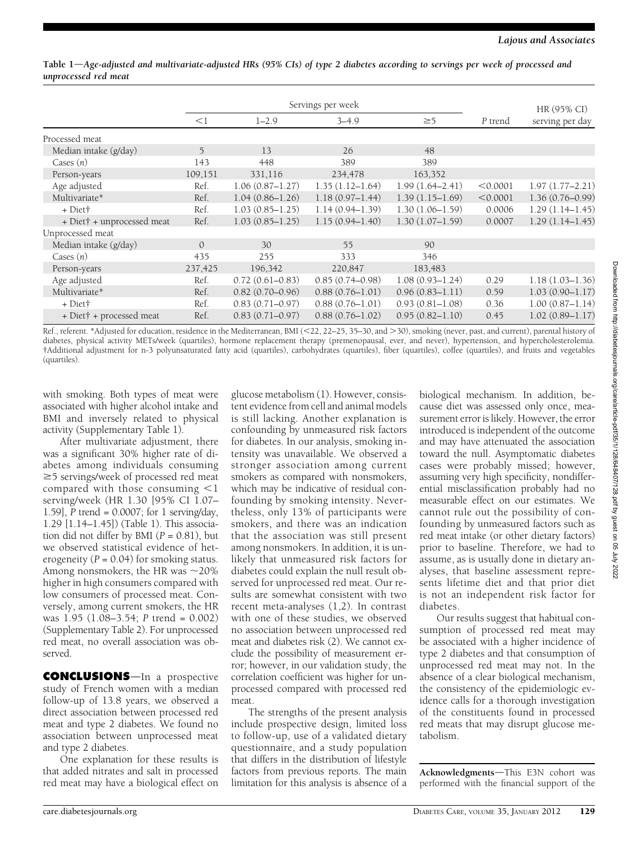|                            | Servings per week |                     |                     |                     |          | HR (95% CI)         |
|----------------------------|-------------------|---------------------|---------------------|---------------------|----------|---------------------|
|                            | $<$ l             | $1 - 2.9$           | $3 - 4.9$           | $\geq 5$            | P trend  | serving per day     |
| Processed meat             |                   |                     |                     |                     |          |                     |
| Median intake (g/day)      | 5                 | 13                  | 26                  | 48                  |          |                     |
| Cases $(n)$                | 143               | 448                 | 389                 | 389                 |          |                     |
| Person-years               | 109,151           | 331,116             | 234,478             | 163,352             |          |                     |
| Age adjusted               | Ref.              | $1.06(0.87 - 1.27)$ | $1.35(1.12 - 1.64)$ | $1.99(1.64 - 2.41)$ | < 0.0001 | $1.97(1.77-2.21)$   |
| Multivariate*              | Ref.              | $1.04(0.86 - 1.26)$ | $1.18(0.97 - 1.44)$ | $1.39(1.15 - 1.69)$ | < 0.0001 | $1.36(0.76 - 0.99)$ |
| + Diet†                    | Ref.              | $1.03(0.85 - 1.25)$ | $1.14(0.94 - 1.39)$ | $1.30(1.06-1.59)$   | 0.0006   | $1.29(1.14 - 1.45)$ |
| + Diet† + unprocessed meat | Ref.              | $1.03(0.85 - 1.25)$ | $1.15(0.94 - 1.40)$ | $1.30(1.07 - 1.59)$ | 0.0007   | $1.29(1.14 - 1.45)$ |
| Unprocessed meat           |                   |                     |                     |                     |          |                     |
| Median intake (g/day)      | $\Omega$          | 30                  | 55                  | 90                  |          |                     |
| Cases $(n)$                | 435               | 255                 | 333                 | 346                 |          |                     |
| Person-years               | 237,425           | 196,342             | 220,847             | 183,483             |          |                     |
| Age adjusted               | Ref.              | $0.72(0.61 - 0.83)$ | $0.85(0.74 - 0.98)$ | $1.08(0.93 - 1.24)$ | 0.29     | $1.18(1.03 - 1.36)$ |
| Multivariate*              | Ref.              | $0.82(0.70-0.96)$   | $0.88(0.76 - 1.01)$ | $0.96(0.83 - 1.11)$ | 0.59     | $1.03(0.90 - 1.17)$ |
| + Diet†                    | Ref.              | $0.83(0.71 - 0.97)$ | $0.88(0.76 - 1.01)$ | $0.93(0.81 - 1.08)$ | 0.36     | $1.00(0.87 - 1.14)$ |
| + Diet† + processed meat   | Ref.              | $0.83(0.71 - 0.97)$ | $0.88(0.76 - 1.02)$ | $0.95(0.82 - 1.10)$ | 0.45     | $1.02(0.89 - 1.17)$ |

Table 1-Age-adjusted and multivariate-adjusted HRs (95% CIs) of type 2 diabetes according to servings per week of processed and unprocessed red meat

Ref., referent. \*Adjusted for education, residence in the Mediterranean, BMI (<22, 22–25, 35–30, and >30), smoking (never, past, and current), parental history of diabetes, physical activity METs/week (quartiles), hormone replacement therapy (premenopausal, ever, and never), hypertension, and hypercholesterolemia. †Additional adjustment for n-3 polyunsaturated fatty acid (quartiles), carbohydrates (quartiles), fiber (quartiles), coffee (quartiles), and fruits and vegetables (quartiles).

with smoking. Both types of meat were associated with higher alcohol intake and BMI and inversely related to physical activity (Supplementary Table 1).

After multivariate adjustment, there was a significant 30% higher rate of diabetes among individuals consuming  $\geq$ 5 servings/week of processed red meat compared with those consuming  $\leq$ 1 serving/week (HR 1.30 [95% CI 1.07– 1.59], P trend = 0.0007; for 1 serving/day, 1.29 [1.14–1.45]) (Table 1). This association did not differ by BMI  $(P = 0.81)$ , but we observed statistical evidence of heterogeneity ( $P = 0.04$ ) for smoking status. Among nonsmokers, the HR was  $\sim$ 20% higher in high consumers compared with low consumers of processed meat. Conversely, among current smokers, the HR was 1.95 (1.08–3.54; P trend = 0.002) (Supplementary Table 2). For unprocessed red meat, no overall association was observed.

**CONCLUSIONS**—In a prospective study of French women with a median follow-up of 13.8 years, we observed a direct association between processed red meat and type 2 diabetes. We found no association between unprocessed meat and type 2 diabetes.

One explanation for these results is that added nitrates and salt in processed red meat may have a biological effect on

glucose metabolism (1). However, consistent evidence from cell and animal models is still lacking. Another explanation is confounding by unmeasured risk factors for diabetes. In our analysis, smoking intensity was unavailable. We observed a stronger association among current smokers as compared with nonsmokers, which may be indicative of residual confounding by smoking intensity. Nevertheless, only 13% of participants were smokers, and there was an indication that the association was still present among nonsmokers. In addition, it is unlikely that unmeasured risk factors for diabetes could explain the null result observed for unprocessed red meat. Our results are somewhat consistent with two recent meta-analyses (1,2). In contrast with one of these studies, we observed no association between unprocessed red meat and diabetes risk (2). We cannot exclude the possibility of measurement error; however, in our validation study, the correlation coefficient was higher for unprocessed compared with processed red meat.

The strengths of the present analysis include prospective design, limited loss to follow-up, use of a validated dietary questionnaire, and a study population that differs in the distribution of lifestyle factors from previous reports. The main limitation for this analysis is absence of a

biological mechanism. In addition, because diet was assessed only once, measurement error is likely. However, the error introduced is independent of the outcome and may have attenuated the association toward the null. Asymptomatic diabetes cases were probably missed; however, assuming very high specificity, nondifferential misclassification probably had no measurable effect on our estimates. We cannot rule out the possibility of confounding by unmeasured factors such as red meat intake (or other dietary factors) prior to baseline. Therefore, we had to assume, as is usually done in dietary analyses, that baseline assessment represents lifetime diet and that prior diet is not an independent risk factor for diabetes.

Our results suggest that habitual consumption of processed red meat may be associated with a higher incidence of type 2 diabetes and that consumption of unprocessed red meat may not. In the absence of a clear biological mechanism, the consistency of the epidemiologic evidence calls for a thorough investigation of the constituents found in processed red meats that may disrupt glucose metabolism.

Acknowledgments-This E3N cohort was performed with the financial support of the